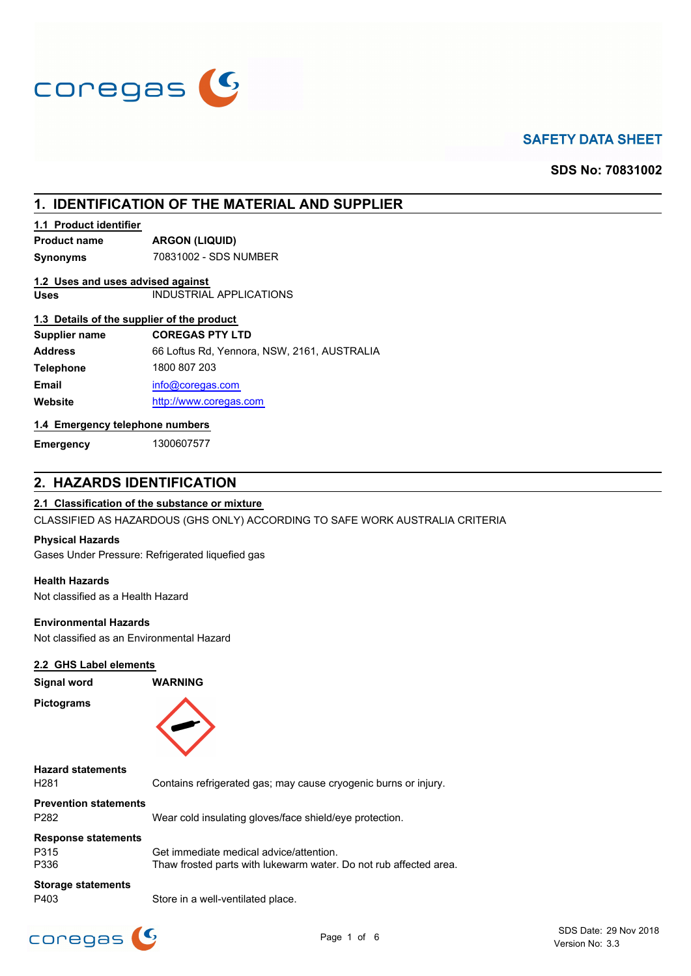

# **SAFETY DATA SHEET**

**SDS No: 70831002**

# **1. IDENTIFICATION OF THE MATERIAL AND SUPPLIER**

### **1.1 Product identifier**

**Product name ARGON (LIQUID)**

**Synonyms** 70831002 - SDS NUMBER

### **1.2 Uses and uses advised against**

**Uses** INDUSTRIAL APPLICATIONS

## **1.3 Details of the supplier of the product**

| Supplier name    | <b>COREGAS PTY LTD</b>                      |
|------------------|---------------------------------------------|
| <b>Address</b>   | 66 Loftus Rd, Yennora, NSW, 2161, AUSTRALIA |
| <b>Telephone</b> | 1800 807 203                                |
| <b>Email</b>     | info@coregas.com                            |
| Website          | http://www.coregas.com                      |
|                  |                                             |

## **1.4 Emergency telephone numbers**

**Emergency** 1300607577

## **2. HAZARDS IDENTIFICATION**

## **2.1 Classification of the substance or mixture**

CLASSIFIED AS HAZARDOUS (GHS ONLY) ACCORDING TO SAFE WORK AUSTRALIA CRITERIA

#### **Physical Hazards**

Gases Under Pressure: Refrigerated liquefied gas

#### **Health Hazards**

Not classified as a Health Hazard

#### **Environmental Hazards**

Not classified as an Environmental Hazard

### **2.2 GHS Label elements**

| Signal word                                      | <b>WARNING</b>                                                  |
|--------------------------------------------------|-----------------------------------------------------------------|
| <b>Pictograms</b>                                |                                                                 |
| <b>Hazard statements</b><br>H <sub>281</sub>     | Contains refrigerated gas; may cause cryogenic burns or injury. |
| <b>Prevention statements</b><br>P <sub>282</sub> | Wear cold insulating gloves/face shield/eye protection.         |
| <b>Response statements</b><br>D215               | Cot immodiate modical advise/ettention                          |

P315 Get immediate medical advice/attention. P336 Thaw frosted parts with lukewarm water. Do not rub affected area.

## **Storage statements**

P403 Store in a well-ventilated place.



SDS Date: 29 Nov 2018 Page 1 of 6 **Page 1** of 6 **Page 1** of 6 **Page 1** of 6 **Page 1** of 6 **Page 1** of 6 **Page 1** of 8.3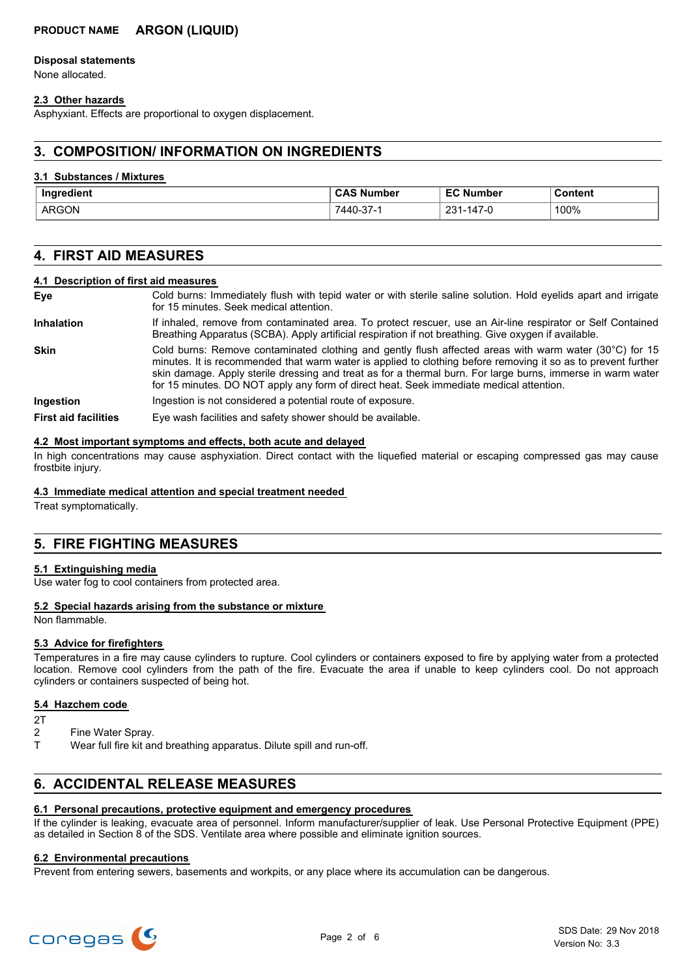## **PRODUCT NAME ARGON (LIQUID)**

#### **Disposal statements**

None allocated.

### **2.3 Other hazards**

Asphyxiant. Effects are proportional to oxygen displacement.

## **3. COMPOSITION/ INFORMATION ON INGREDIENTS**

#### **3.1 Substances / Mixtures**

| Inaredient | umber<br>N           | <b>EC Number</b>        | Content |
|------------|----------------------|-------------------------|---------|
| ARGON      | $\sim$<br>7440-37- i | $147-0$<br>ດລາ<br>∍≀ ت∠ | 100%    |

## **4. FIRST AID MEASURES**

#### **4.1 Description of first aid measures**

| Eye                         | Cold burns: Immediately flush with tepid water or with sterile saline solution. Hold eyelids apart and irrigate<br>for 15 minutes. Seek medical attention.                                                                                                                                                                                                                                                                        |
|-----------------------------|-----------------------------------------------------------------------------------------------------------------------------------------------------------------------------------------------------------------------------------------------------------------------------------------------------------------------------------------------------------------------------------------------------------------------------------|
| <b>Inhalation</b>           | If inhaled, remove from contaminated area. To protect rescuer, use an Air-line respirator or Self Contained<br>Breathing Apparatus (SCBA). Apply artificial respiration if not breathing. Give oxygen if available.                                                                                                                                                                                                               |
| <b>Skin</b>                 | Cold burns: Remove contaminated clothing and gently flush affected areas with warm water (30°C) for 15<br>minutes. It is recommended that warm water is applied to clothing before removing it so as to prevent further<br>skin damage. Apply sterile dressing and treat as for a thermal burn. For large burns, immerse in warm water<br>for 15 minutes. DO NOT apply any form of direct heat. Seek immediate medical attention. |
| Ingestion                   | Ingestion is not considered a potential route of exposure.                                                                                                                                                                                                                                                                                                                                                                        |
| <b>First aid facilities</b> | Eye wash facilities and safety shower should be available.                                                                                                                                                                                                                                                                                                                                                                        |

#### **4.2 Most important symptoms and effects, both acute and delayed**

In high concentrations may cause asphyxiation. Direct contact with the liquefied material or escaping compressed gas may cause frostbite injury.

### **4.3 Immediate medical attention and special treatment needed**

Treat symptomatically.

## **5. FIRE FIGHTING MEASURES**

#### **5.1 Extinguishing media**

Use water fog to cool containers from protected area.

### **5.2 Special hazards arising from the substance or mixture**

Non flammable.

### **5.3 Advice for firefighters**

Temperatures in a fire may cause cylinders to rupture. Cool cylinders or containers exposed to fire by applying water from a protected location. Remove cool cylinders from the path of the fire. Evacuate the area if unable to keep cylinders cool. Do not approach cylinders or containers suspected of being hot.

#### **5.4 Hazchem code**

- $2T$
- 2 Fine Water Spray.
- T Wear full fire kit and breathing apparatus. Dilute spill and run-off.

## **6. ACCIDENTAL RELEASE MEASURES**

#### **6.1 Personal precautions, protective equipment and emergency procedures**

If the cylinder is leaking, evacuate area of personnel. Inform manufacturer/supplier of leak. Use Personal Protective Equipment (PPE) as detailed in Section 8 of the SDS. Ventilate area where possible and eliminate ignition sources.

#### **6.2 Environmental precautions**

Prevent from entering sewers, basements and workpits, or any place where its accumulation can be dangerous.

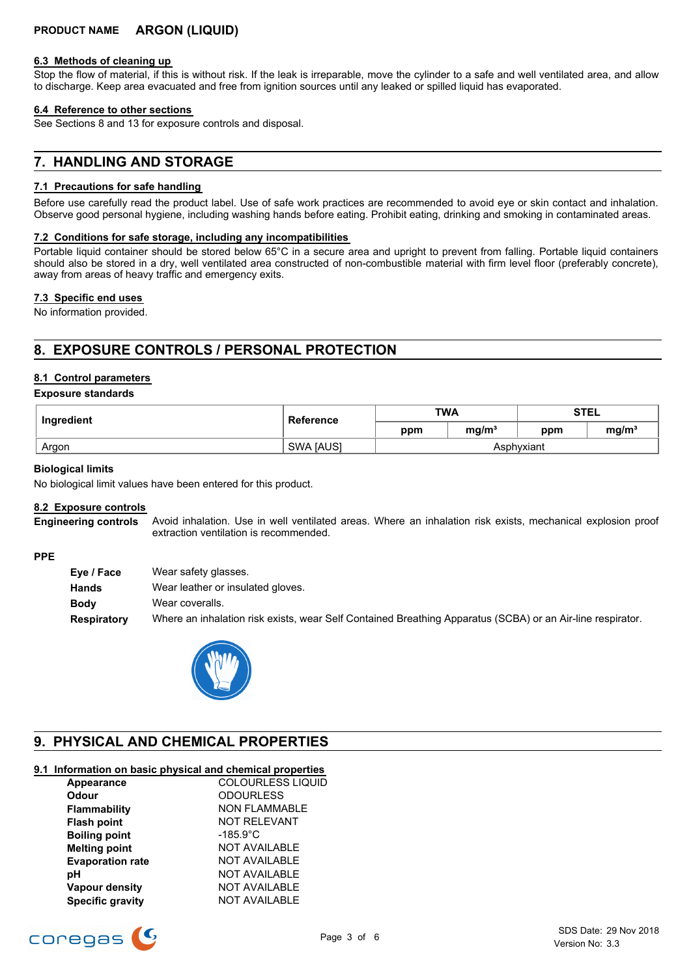#### **6.3 Methods of cleaning up**

Stop the flow of material, if this is without risk. If the leak is irreparable, move the cylinder to a safe and well ventilated area, and allow to discharge. Keep area evacuated and free from ignition sources until any leaked or spilled liquid has evaporated.

#### **6.4 Reference to other sections**

See Sections 8 and 13 for exposure controls and disposal.

## **7. HANDLING AND STORAGE**

### **7.1 Precautions for safe handling**

Before use carefully read the product label. Use of safe work practices are recommended to avoid eye or skin contact and inhalation. Observe good personal hygiene, including washing hands before eating. Prohibit eating, drinking and smoking in contaminated areas.

#### **7.2 Conditions for safe storage, including any incompatibilities**

Portable liquid container should be stored below 65°C in a secure area and upright to prevent from falling. Portable liquid containers should also be stored in a dry, well ventilated area constructed of non-combustible material with firm level floor (preferably concrete), away from areas of heavy traffic and emergency exits.

#### **7.3 Specific end uses**

No information provided.

# **8. EXPOSURE CONTROLS / PERSONAL PROTECTION**

### **8.1 Control parameters**

#### **Exposure standards**

| Ingredient | <b>Reference</b> | <b>TWA</b> |                   | <b>STEL</b> |                   |
|------------|------------------|------------|-------------------|-------------|-------------------|
|            |                  | ppm        | ma/m <sup>3</sup> | ppm         | mg/m <sup>3</sup> |
| Argon      | <b>SWA JAUSI</b> | Asphyxiant |                   |             |                   |

#### **Biological limits**

No biological limit values have been entered for this product.

#### **8.2 Exposure controls**

Avoid inhalation. Use in well ventilated areas. Where an inhalation risk exists, mechanical explosion proof extraction ventilation is recommended. **Engineering controls**

#### **PPE**

| Where an inhalation risk exists, wear Self Contained Breathing Apparatus (SCBA) or an Air-line respirator. |
|------------------------------------------------------------------------------------------------------------|
|                                                                                                            |



# **9. PHYSICAL AND CHEMICAL PROPERTIES**

## **9.1 Information on basic physical and chemical properties**

| Appearance              | COLOURLESS LIQUID    |
|-------------------------|----------------------|
| <b>Odour</b>            | <b>ODOURLESS</b>     |
| Flammability            | <b>NON FLAMMABLE</b> |
| <b>Flash point</b>      | <b>NOT RELEVANT</b>  |
| <b>Boiling point</b>    | $-185.9^{\circ}$ C   |
| <b>Melting point</b>    | <b>NOT AVAILABLE</b> |
| <b>Evaporation rate</b> | <b>NOT AVAILABLE</b> |
| рH                      | <b>NOT AVAILABLE</b> |
| Vapour density          | <b>NOT AVAILABLE</b> |
| <b>Specific gravity</b> | <b>NOT AVAILABLE</b> |

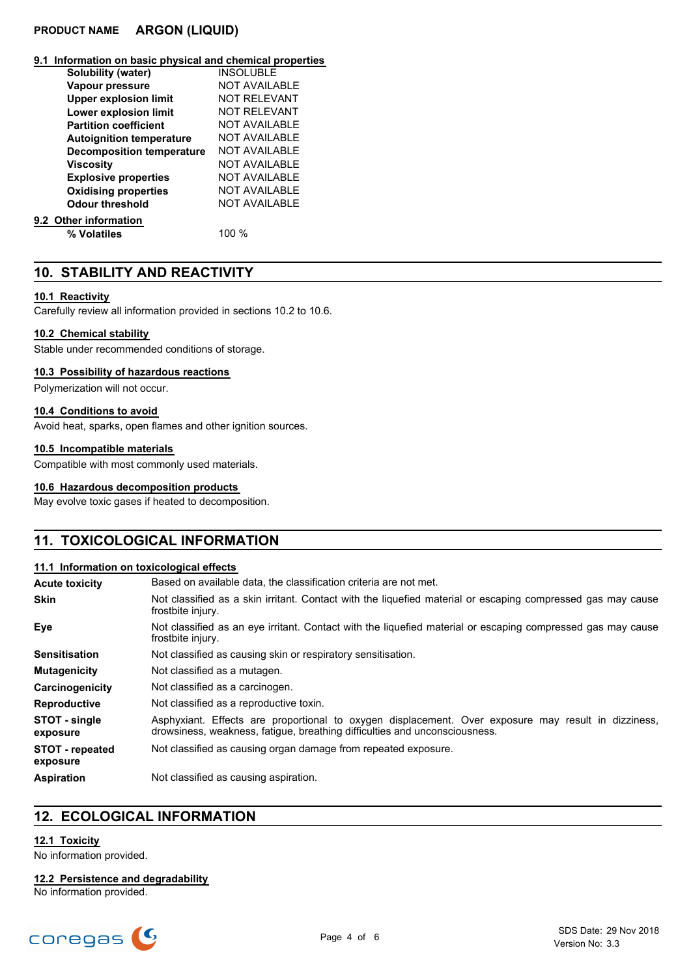## **PRODUCT NAME ARGON (LIQUID)**

#### **9.1 Information on basic physical and chemical properties**

| Solubility (water)               | <b>INSOLUBLE</b>     |
|----------------------------------|----------------------|
| Vapour pressure                  | <b>NOT AVAILABLE</b> |
| <b>Upper explosion limit</b>     | <b>NOT RELEVANT</b>  |
| Lower explosion limit            | NOT REI EVANT        |
| <b>Partition coefficient</b>     | <b>NOT AVAILABLE</b> |
| <b>Autoignition temperature</b>  | NOT AVAILABLE        |
| <b>Decomposition temperature</b> | <b>NOT AVAILABLE</b> |
| <b>Viscosity</b>                 | <b>NOT AVAILABLE</b> |
| <b>Explosive properties</b>      | NOT AVAILABLE        |
| <b>Oxidising properties</b>      | <b>NOT AVAILABLE</b> |
| Odour threshold                  | <b>NOT AVAILABLE</b> |
| 9.2 Other information            |                      |
| % Volatiles                      | 100 %                |

## **10. STABILITY AND REACTIVITY**

#### **10.1 Reactivity**

Carefully review all information provided in sections 10.2 to 10.6.

#### **10.2 Chemical stability**

Stable under recommended conditions of storage.

### **10.3 Possibility of hazardous reactions**

Polymerization will not occur.

### **10.4 Conditions to avoid**

Avoid heat, sparks, open flames and other ignition sources.

### **10.5 Incompatible materials**

Compatible with most commonly used materials.

### **10.6 Hazardous decomposition products**

May evolve toxic gases if heated to decomposition.

## **11. TOXICOLOGICAL INFORMATION**

### **11.1 Information on toxicological effects**

| <b>Acute toxicity</b>              | Based on available data, the classification criteria are not met.                                                                                                                 |
|------------------------------------|-----------------------------------------------------------------------------------------------------------------------------------------------------------------------------------|
| Skin                               | Not classified as a skin irritant. Contact with the liquefied material or escaping compressed gas may cause<br>frostbite injury.                                                  |
| Eye                                | Not classified as an eye irritant. Contact with the liquefied material or escaping compressed gas may cause<br>frostbite injury.                                                  |
| Sensitisation                      | Not classified as causing skin or respiratory sensitisation.                                                                                                                      |
| Mutagenicity                       | Not classified as a mutagen.                                                                                                                                                      |
| Carcinogenicity                    | Not classified as a carcinogen.                                                                                                                                                   |
| Reproductive                       | Not classified as a reproductive toxin.                                                                                                                                           |
| <b>STOT - single</b><br>exposure   | Asphyxiant. Effects are proportional to oxygen displacement. Over exposure may result in dizziness,<br>drowsiness, weakness, fatigue, breathing difficulties and unconsciousness. |
| <b>STOT - repeated</b><br>exposure | Not classified as causing organ damage from repeated exposure.                                                                                                                    |
| Aspiration                         | Not classified as causing aspiration.                                                                                                                                             |

## **12. ECOLOGICAL INFORMATION**

## **12.1 Toxicity**

No information provided.

## **12.2 Persistence and degradability**

No information provided.

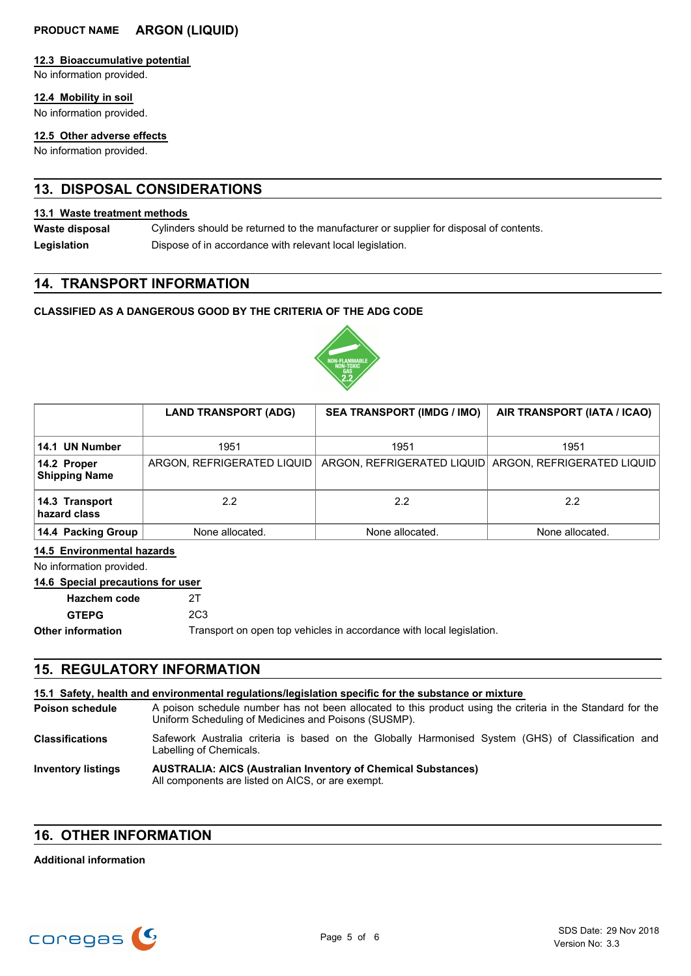## **PRODUCT NAME ARGON (LIQUID)**

### **12.3 Bioaccumulative potential**

No information provided.

### **12.4 Mobility in soil**

No information provided.

### **12.5 Other adverse effects**

No information provided.

# **13. DISPOSAL CONSIDERATIONS**

#### **13.1 Waste treatment methods**

Cylinders should be returned to the manufacturer or supplier for disposal of contents. **Waste disposal** Legislation **Dispose of in accordance with relevant local legislation.** 

## **14. TRANSPORT INFORMATION**

## **CLASSIFIED AS A DANGEROUS GOOD BY THE CRITERIA OF THE ADG CODE**



|                                     | <b>LAND TRANSPORT (ADG)</b> | <b>SEA TRANSPORT (IMDG / IMO)</b> | AIR TRANSPORT (IATA / ICAO)                           |
|-------------------------------------|-----------------------------|-----------------------------------|-------------------------------------------------------|
| 14.1 UN Number                      | 1951                        | 1951                              | 1951                                                  |
| 14.2 Proper<br><b>Shipping Name</b> | ARGON, REFRIGERATED LIQUID  |                                   | ARGON, REFRIGERATED LIQUID ARGON, REFRIGERATED LIQUID |
| 14.3 Transport<br>hazard class      | $2.2^{\circ}$               | $2.2^{\circ}$                     | 2.2                                                   |
| 14.4 Packing Group                  | None allocated.             | None allocated.                   | None allocated.                                       |

## **14.5 Environmental hazards**

No information provided.

# **14.6 Special precautions for user**

| Hazchem code      | 2T              |
|-------------------|-----------------|
| <b>GTEPG</b>      | 2C <sub>3</sub> |
| Other information | Transport       |

Transport on open top vehicles in accordance with local legislation.

# **15. REGULATORY INFORMATION**

| 15.1 Safety, health and environmental regulations/legislation specific for the substance or mixture |                                                                                                                                                                    |  |
|-----------------------------------------------------------------------------------------------------|--------------------------------------------------------------------------------------------------------------------------------------------------------------------|--|
| <b>Poison schedule</b>                                                                              | A poison schedule number has not been allocated to this product using the criteria in the Standard for the<br>Uniform Scheduling of Medicines and Poisons (SUSMP). |  |
| <b>Classifications</b>                                                                              | Safework Australia criteria is based on the Globally Harmonised System (GHS) of Classification and<br>Labelling of Chemicals.                                      |  |
| <b>Inventory listings</b>                                                                           | <b>AUSTRALIA: AICS (Australian Inventory of Chemical Substances)</b><br>All components are listed on AICS, or are exempt.                                          |  |

## **16. OTHER INFORMATION**

## **Additional information**